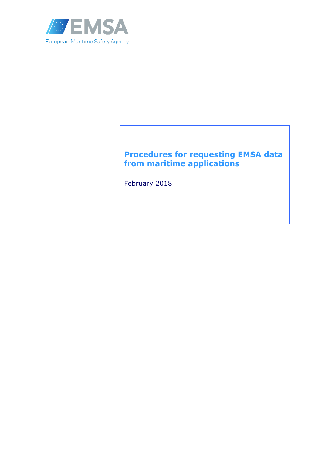

# **Procedures for requesting EMSA data from maritime applications**

February 2018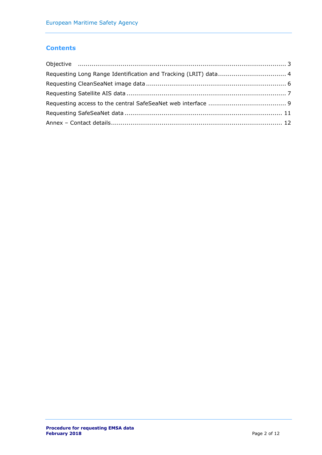## **Contents**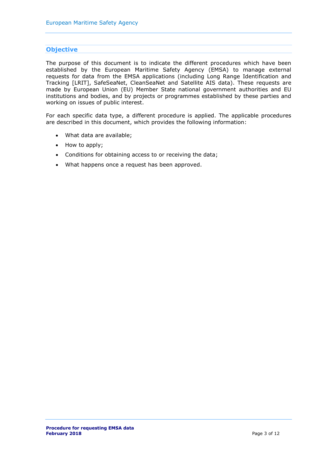### <span id="page-2-0"></span>**Objective**

The purpose of this document is to indicate the different procedures which have been established by the European Maritime Safety Agency (EMSA) to manage external requests for data from the EMSA applications (including Long Range Identification and Tracking [LRIT], SafeSeaNet, CleanSeaNet and Satellite AIS data). These requests are made by European Union (EU) Member State national government authorities and EU institutions and bodies, and by projects or programmes established by these parties and working on issues of public interest.

For each specific data type, a different procedure is applied. The applicable procedures are described in this document, which provides the following information:

- What data are available;
- How to apply;
- Conditions for obtaining access to or receiving the data;
- What happens once a request has been approved.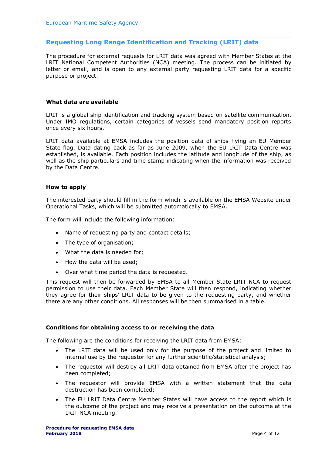### <span id="page-3-0"></span>**Requesting Long Range Identification and Tracking (LRIT) data**

The procedure for external requests for LRIT data was agreed with Member States at the LRIT National Competent Authorities (NCA) meeting. The process can be initiated by letter or email, and is open to any external party requesting LRIT data for a specific purpose or project.

### **What data are available**

LRIT is a global ship identification and tracking system based on satellite communication. Under IMO regulations, certain categories of vessels send mandatory position reports once every six hours.

LRIT data available at EMSA includes the position data of ships flying an EU Member State flag. Data dating back as far as June 2009, when the EU LRIT Data Centre was established, is available. Each position includes the latitude and longitude of the ship, as well as the ship particulars and time stamp indicating when the information was received by the Data Centre.

### **How to apply**

The interested party should fill in the form which is available on the EMSA Website under Operational Tasks, which will be submitted automatically to EMSA.

The form will include the following information:

- Name of requesting party and contact details;
- The type of organisation;
- What the data is needed for;
- How the data will be used;
- Over what time period the data is requested.

This request will then be forwarded by EMSA to all Member State LRIT NCA to request permission to use their data. Each Member State will then respond, indicating whether they agree for their ships' LRIT data to be given to the requesting party, and whether there are any other conditions. All responses will be then summarised in a table.

### **Conditions for obtaining access to or receiving the data**

The following are the conditions for receiving the LRIT data from EMSA:

- The LRIT data will be used only for the purpose of the project and limited to internal use by the requestor for any further scientific/statistical analysis;
- The requestor will destroy all LRIT data obtained from EMSA after the project has been completed;
- The requestor will provide EMSA with a written statement that the data destruction has been completed;
- The EU LRIT Data Centre Member States will have access to the report which is the outcome of the project and may receive a presentation on the outcome at the LRIT NCA meeting.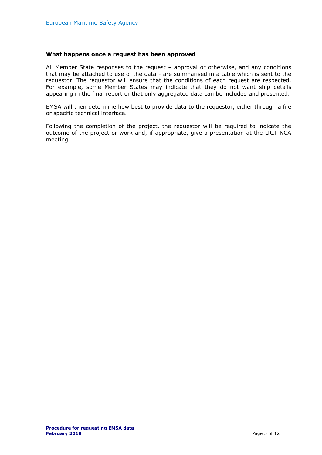### **What happens once a request has been approved**

All Member State responses to the request – approval or otherwise, and any conditions that may be attached to use of the data - are summarised in a table which is sent to the requestor. The requestor will ensure that the conditions of each request are respected. For example, some Member States may indicate that they do not want ship details appearing in the final report or that only aggregated data can be included and presented.

EMSA will then determine how best to provide data to the requestor, either through a file or specific technical interface.

Following the completion of the project, the requestor will be required to indicate the outcome of the project or work and, if appropriate, give a presentation at the LRIT NCA meeting.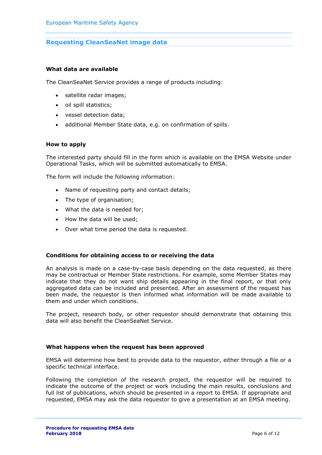### <span id="page-5-0"></span>**Requesting CleanSeaNet image data**

#### **What data are available**

The CleanSeaNet Service provides a range of products including:

- satellite radar images;
- oil spill statistics;
- vessel detection data;
- additional Member State data, e.g. on confirmation of spills.

### **How to apply**

The interested party should fill in the form which is available on the EMSA Website under Operational Tasks, which will be submitted automatically to EMSA.

The form will include the following information:

- Name of requesting party and contact details;
- The type of organisation;
- What the data is needed for;
- How the data will be used;
- Over what time period the data is requested.

### **Conditions for obtaining access to or receiving the data**

An analysis is made on a case-by-case basis depending on the data requested, as there may be contractual or Member State restrictions. For example, some Member States may indicate that they do not want ship details appearing in the final report, or that only aggregated data can be included and presented. After an assessment of the request has been made, the requestor is then informed what information will be made available to them and under which conditions.

The project, research body, or other requestor should demonstrate that obtaining this data will also benefit the CleanSeaNet Service.

#### **What happens when the request has been approved**

EMSA will determine how best to provide data to the requestor, either through a file or a specific technical interface.

Following the completion of the research project, the requestor will be required to indicate the outcome of the project or work including the main results, conclusions and full list of publications, which should be presented in a report to EMSA. If appropriate and requested, EMSA may ask the data requestor to give a presentation at an EMSA meeting.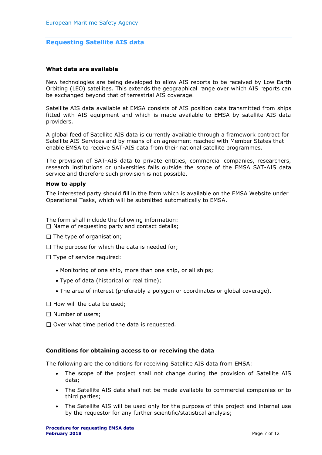### <span id="page-6-0"></span>**Requesting Satellite AIS data**

#### **What data are available**

New technologies are being developed to allow AIS reports to be received by Low Earth Orbiting (LEO) satellites. This extends the geographical range over which AIS reports can be exchanged beyond that of terrestrial AIS coverage.

Satellite AIS data available at EMSA consists of AIS position data transmitted from ships fitted with AIS equipment and which is made available to EMSA by satellite AIS data providers.

A global feed of Satellite AIS data is currently available through a framework contract for Satellite AIS Services and by means of an agreement reached with Member States that enable EMSA to receive SAT-AIS data from their national satellite programmes.

The provision of SAT-AIS data to private entities, commercial companies, researchers, research institutions or universities falls outside the scope of the EMSA SAT-AIS data service and therefore such provision is not possible.

#### **How to apply**

The interested party should fill in the form which is available on the EMSA Website under Operational Tasks, which will be submitted automatically to EMSA.

The form shall include the following information:

- $\square$  Name of requesting party and contact details;
- $\Box$  The type of organisation;
- $\Box$  The purpose for which the data is needed for;
- $\Box$  Type of service required:
	- Monitoring of one ship, more than one ship, or all ships;
	- Type of data (historical or real time);
	- The area of interest (preferably a polygon or coordinates or global coverage).
- $\Box$  How will the data be used;
- $\Box$  Number of users;
- $\Box$  Over what time period the data is requested.

### **Conditions for obtaining access to or receiving the data**

The following are the conditions for receiving Satellite AIS data from EMSA:

- The scope of the project shall not change during the provision of Satellite AIS data;
- The Satellite AIS data shall not be made available to commercial companies or to third parties;
- The Satellite AIS will be used only for the purpose of this project and internal use by the requestor for any further scientific/statistical analysis;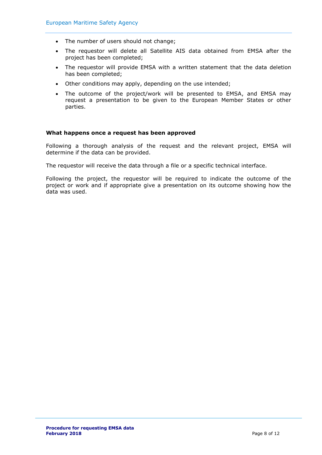- The number of users should not change;
- The requestor will delete all Satellite AIS data obtained from EMSA after the project has been completed;
- The requestor will provide EMSA with a written statement that the data deletion has been completed;
- Other conditions may apply, depending on the use intended;
- The outcome of the project/work will be presented to EMSA, and EMSA may request a presentation to be given to the European Member States or other parties.

### **What happens once a request has been approved**

Following a thorough analysis of the request and the relevant project, EMSA will determine if the data can be provided.

The requestor will receive the data through a file or a specific technical interface.

Following the project, the requestor will be required to indicate the outcome of the project or work and if appropriate give a presentation on its outcome showing how the data was used.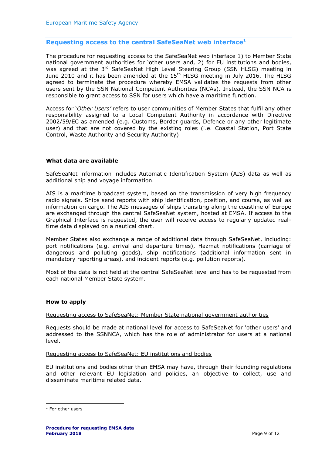### <span id="page-8-0"></span>**Requesting access to the central SafeSeaNet web interface<sup>1</sup>**

The procedure for requesting access to the SafeSeaNet web interface 1) to Member State national government authorities for 'other users and, 2) for EU institutions and bodies, was agreed at the 3<sup>rd</sup> SafeSeaNet High Level Steering Group (SSN HLSG) meeting in June 2010 and it has been amended at the 15<sup>th</sup> HLSG meeting in July 2016. The HLSG agreed to terminate the procedure whereby EMSA validates the requests from other users sent by the SSN National Competent Authorities (NCAs). Instead, the SSN NCA is responsible to grant access to SSN for users which have a maritime function.

Access for '*Other Users'* refers to user communities of Member States that fulfil any other responsibility assigned to a Local Competent Authority in accordance with Directive 2002/59/EC as amended (e.g. Customs, Border guards, Defence or any other legitimate user) and that are not covered by the existing roles (i.e. Coastal Station, Port State Control, Waste Authority and Security Authority)

### **What data are available**

SafeSeaNet information includes Automatic Identification System (AIS) data as well as additional ship and voyage information.

AIS is a maritime broadcast system, based on the transmission of very high frequency radio signals. Ships send reports with ship identification, position, and course, as well as information on cargo. The AIS messages of ships transiting along the coastline of Europe are exchanged through the central SafeSeaNet system, hosted at EMSA. If access to the Graphical Interface is requested, the user will receive access to regularly updated realtime data displayed on a nautical chart.

Member States also exchange a range of additional data through SafeSeaNet, including: port notifications (e.g. arrival and departure times), Hazmat notifications (carriage of dangerous and polluting goods), ship notifications (additional information sent in mandatory reporting areas), and incident reports (e.g. pollution reports).

Most of the data is not held at the central SafeSeaNet level and has to be requested from each national Member State system.

#### **How to apply**

#### Requesting access to SafeSeaNet: Member State national government authorities

Requests should be made at national level for access to SafeSeaNet for 'other users' and addressed to the SSNNCA, which has the role of administrator for users at a national level.

#### Requesting access to SafeSeaNet: EU institutions and bodies

EU institutions and bodies other than EMSA may have, through their founding regulations and other relevant EU legislation and policies, an objective to collect, use and disseminate maritime related data.

-

<sup>&</sup>lt;sup>1</sup> For other users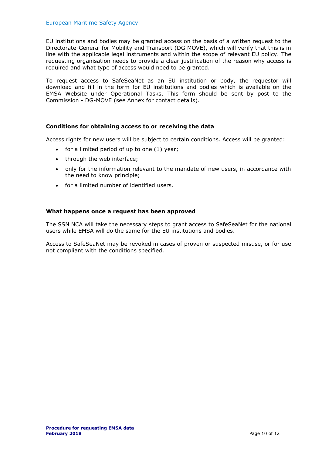EU institutions and bodies may be granted access on the basis of a written request to the Directorate-General for Mobility and Transport (DG MOVE), which will verify that this is in line with the applicable legal instruments and within the scope of relevant EU policy. The requesting organisation needs to provide a clear justification of the reason why access is required and what type of access would need to be granted.

To request access to SafeSeaNet as an EU institution or body, the requestor will download and fill in the form for EU institutions and bodies which is available on the EMSA Website under Operational Tasks. This form should be sent by post to the Commission - DG-MOVE (see Annex for contact details).

### **Conditions for obtaining access to or receiving the data**

Access rights for new users will be subject to certain conditions. Access will be granted:

- $\bullet$  for a limited period of up to one (1) year;
- through the web interface;
- only for the information relevant to the mandate of new users, in accordance with the need to know principle;
- for a limited number of identified users.

### **What happens once a request has been approved**

The SSN NCA will take the necessary steps to grant access to SafeSeaNet for the national users while EMSA will do the same for the EU institutions and bodies.

Access to SafeSeaNet may be revoked in cases of proven or suspected misuse, or for use not compliant with the conditions specified.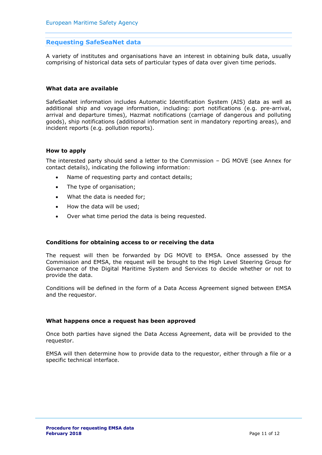### <span id="page-10-0"></span>**Requesting SafeSeaNet data**

A variety of institutes and organisations have an interest in obtaining bulk data, usually comprising of historical data sets of particular types of data over given time periods.

### **What data are available**

SafeSeaNet information includes Automatic Identification System (AIS) data as well as additional ship and voyage information, including: port notifications (e.g. pre-arrival, arrival and departure times), Hazmat notifications (carriage of dangerous and polluting goods), ship notifications (additional information sent in mandatory reporting areas), and incident reports (e.g. pollution reports).

### **How to apply**

The interested party should send a letter to the Commission – DG MOVE (see Annex for contact details), indicating the following information:

- Name of requesting party and contact details;
- The type of organisation;
- What the data is needed for;
- How the data will be used;
- Over what time period the data is being requested.

### **Conditions for obtaining access to or receiving the data**

The request will then be forwarded by DG MOVE to EMSA. Once assessed by the Commission and EMSA, the request will be brought to the High Level Steering Group for Governance of the Digital Maritime System and Services to decide whether or not to provide the data.

Conditions will be defined in the form of a Data Access Agreement signed between EMSA and the requestor.

### **What happens once a request has been approved**

Once both parties have signed the Data Access Agreement, data will be provided to the requestor.

EMSA will then determine how to provide data to the requestor, either through a file or a specific technical interface.